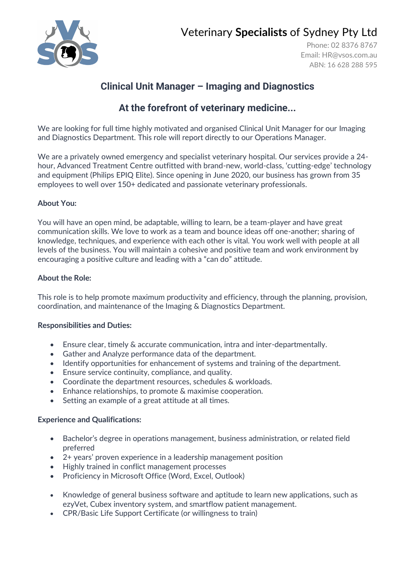

# Veterinary **Specialists** of Sydney Pty Ltd

Phone: 02 8376 8767 Email: [HR@vsos.com.au](mailto:HR@vsos.com.au) ABN: 16 628 288 595

## **Clinical Unit Manager – Imaging and Diagnostics**

## **At the forefront of veterinary medicine...**

We are looking for full time highly motivated and organised Clinical Unit Manager for our Imaging and Diagnostics Department. This role will report directly to our Operations Manager.

We are a privately owned emergency and specialist veterinary hospital. Our services provide a 24 hour, Advanced Treatment Centre outfitted with brand-new, world-class, 'cutting-edge' technology and equipment (Philips EPIQ Elite). Since opening in June 2020, our business has grown from 35 employees to well over 150+ dedicated and passionate veterinary professionals.

### **About You:**

You will have an open mind, be adaptable, willing to learn, be a team-player and have great communication skills. We love to work as a team and bounce ideas off one-another; sharing of knowledge, techniques, and experience with each other is vital. You work well with people at all levels of the business. You will maintain a cohesive and positive team and work environment by encouraging a positive culture and leading with a "can do" attitude.

#### **About the Role:**

This role is to help promote maximum productivity and efficiency, through the planning, provision, coordination, and maintenance of the Imaging & Diagnostics Department.

#### **Responsibilities and Duties:**

- Ensure clear, timely & accurate communication, intra and inter-departmentally.
- Gather and Analyze performance data of the department.
- Identify opportunities for enhancement of systems and training of the department.
- Ensure service continuity, compliance, and quality.
- Coordinate the department resources, schedules & workloads.
- Enhance relationships, to promote & maximise cooperation.
- Setting an example of a great attitude at all times.

#### **Experience and Qualifications:**

- Bachelor's degree in operations management, business administration, or related field preferred
- 2+ years' proven experience in a leadership management position
- Highly trained in conflict management processes
- Proficiency in Microsoft Office (Word, Excel, Outlook)
- Knowledge of general business software and aptitude to learn new applications, such as ezyVet, Cubex inventory system, and smartflow patient management.
- CPR/Basic Life Support Certificate (or willingness to train)